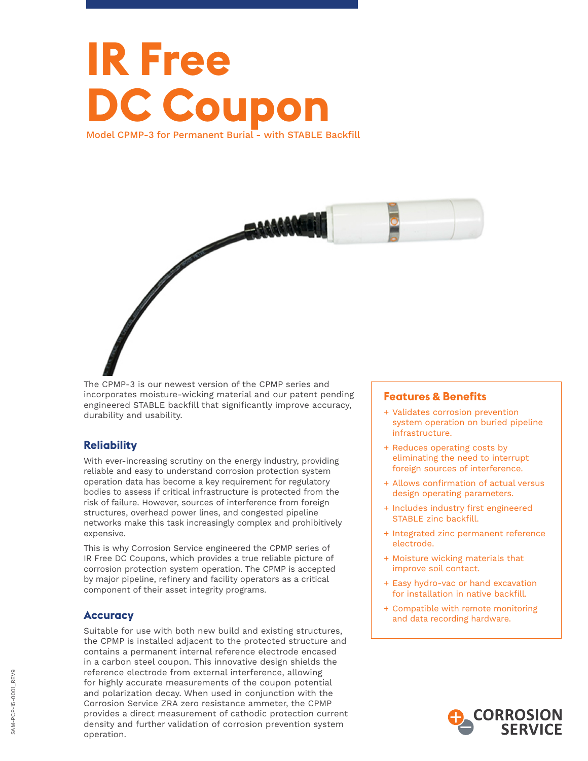# **IR Free DC Coupon** Model CPMP-3 for Permanent Burial - with STABLE Backfill



The CPMP-3 is our newest version of the CPMP series and incorporates moisture-wicking material and our patent pending engineered STABLE backfill that significantly improve accuracy, durability and usability.

# **Reliability**

With ever-increasing scrutiny on the energy industry, providing reliable and easy to understand corrosion protection system operation data has become a key requirement for regulatory bodies to assess if critical infrastructure is protected from the risk of failure. However, sources of interference from foreign structures, overhead power lines, and congested pipeline networks make this task increasingly complex and prohibitively expensive.

This is why Corrosion Service engineered the CPMP series of IR Free DC Coupons, which provides a true reliable picture of corrosion protection system operation. The CPMP is accepted by major pipeline, refinery and facility operators as a critical component of their asset integrity programs.

## **Accuracy**

Suitable for use with both new build and existing structures, the CPMP is installed adjacent to the protected structure and contains a permanent internal reference electrode encased in a carbon steel coupon. This innovative design shields the reference electrode from external interference, allowing for highly accurate measurements of the coupon potential and polarization decay. When used in conjunction with the Corrosion Service ZRA zero resistance ammeter, the CPMP provides a direct measurement of cathodic protection current density and further validation of corrosion prevention system operation.

## **Features & Benefits**

- + Validates corrosion prevention system operation on buried pipeline infrastructure.
- + Reduces operating costs by eliminating the need to interrupt foreign sources of interference.
- + Allows confirmation of actual versus design operating parameters.
- + Includes industry first engineered STABLE zinc backfill.
- + Integrated zinc permanent reference electrode.
- + Moisture wicking materials that improve soil contact.
- + Easy hydro-vac or hand excavation for installation in native backfill.
- + Compatible with remote monitoring and data recording hardware.